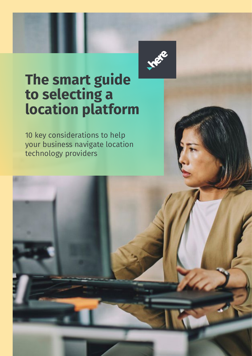

# **The smart guide to selecting a location platform**

10 key considerations to help your business navigate location technology providers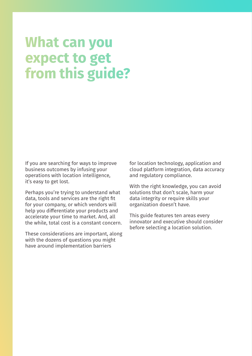# **What can you** expect to get from this guide?

If you are searching for ways to improve business outcomes by infusing your operations with location intelligence, it's easy to get lost.

Perhaps you're trying to understand what data, tools and services are the right fit for your company, or which vendors will help you differentiate your products and accelerate your time to market. And, all the while, total cost is a constant concern.

These considerations are important, along with the dozens of questions you might have around implementation barriers

for location technology, application and cloud platform integration, data accuracy and regulatory compliance.

With the right knowledge, you can avoid solutions that don't scale, harm your data integrity or require skills your organization doesn't have.

This guide features ten areas every innovator and executive should consider before selecting a location solution.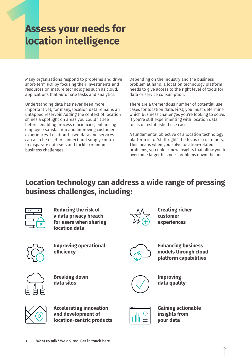#### **Assess your needs for location intelligence**

Many organizations respond to problems and drive short-term ROI by focusing their investments and resources on mature technologies such as cloud, applications that automate tasks and analytics.

Understanding data has never been more important yet, for many, location data remains an untapped reservoir. Adding the context of location shines a spotlight on areas you couldn't see before, enabling process efficiencies, enhancing employee satisfaction and improving customer experiences. Location-based data and services can also be used to connect and supply context to disparate data sets and tackle common business challenges.

Depending on the industry and the business problem at hand, a location technology platform needs to give access to the right level of tools for data or service consumption.

There are a tremendous number of potential use cases for location data. First, you must determine which business challenges you're looking to solve. If you're still experimenting with location data, focus on established use cases.

A fundamental objective of a location technology platform is to "shift right" the focus of customers. This means when you solve location-related problems, you unlock new insights that allow you to overcome larger business problems down the line.

#### **Location technology can address a wide range of pressing business challenges, including:**



**Reducing the risk of a data privacy breach for users when sharing location data**



**Creating richer customer experiences**



**Improving operational efficiency**



**Enhancing business models through cloud platform capabilities**



**Breaking down data silos**



**Improving data quality**



**Accelerating innovation and development of location-centric products**



**Gaining actionable insights from your data**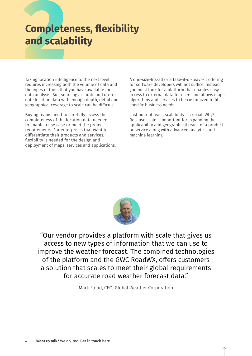### **Completeness, flexibility and scalability**

Taking location intelligence to the next level requires increasing both the volume of data and the types of tools that you have available for data analysis. But, sourcing accurate and up-todate location data with enough depth, detail and geographical coverage to scale can be difficult.

Buying teams need to carefully assess the completeness of the location data needed to enable a use case or meet the project requirements. For enterprises that want to differentiate their products and services, flexibility is needed for the design and deployment of maps, services and applications. A one-size-fits-all or a take-it-or-leave-it offering for software developers will not suffice. Instead, you must look for a platform that enables easy access to external data for users and allows maps, algorithms and services to be customized to fit specific business needs.

Last but not least, scalability is crucial. Why? Because scale is important for expanding the applicability and geographical reach of a product or service along with advanced analytics and machine learning.



"Our vendor provides a platform with scale that gives us access to new types of information that we can use to improve the weather forecast. The combined technologies of the platform and the GWC RoadWX, offers customers a solution that scales to meet their global requirements for accurate road weather forecast data."

Mark Flolid, CEO, Global Weather Corporation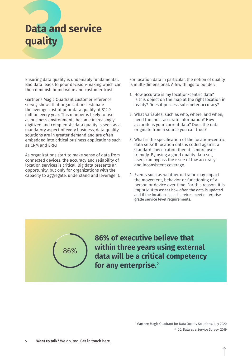# **Data and service quality**

Ensuring data quality is undeniably fundamental. Bad data leads to poor decision-making which can then diminish brand value and customer trust.

Gartner's Magic Quadrant customer reference survey shows that organizations estimate the average cost of poor data quality at \$12.9 million every year. This number is likely to rise as business environments become increasingly digitized and complex. As data quality is seen as a mandatory aspect of every business, data quality solutions are in greater demand and are often embedded into critical business applications such as CRM and ERP.1

As organizations start to make sense of data from connected devices, the accuracy and reliability of location services is critical. Big data presents an opportunity, but only for organizations with the capacity to aggregate, understand and leverage it.

For location data in particular, the notion of quality is multi-dimensional. A few things to ponder:

- 1. How accurate is my location-centric data? Is this object on the map at the right location in reality? Does it possess sub-meter accuracy?
- 2. What variables, such as who, where, and when, need the most accurate information? How accurate is your current data? Does the data originate from a source you can trust?
- 3. What is the specification of the location-centric data sets? If location data is coded against a standard specification then it is more userfriendly. By using a good quality data set, users can bypass the issue of low accuracy and inconsistent coverage.
- 4. Events such as weather or traffic may impact the movement, behavior or functioning of a person or device over time. For this reason, it is important to assess how often the data is updated and if the location-based services meet enterprisegrade service level requirements.

86%

**86% of executive believe that within three years using external data will be a critical competency for any enterprise.**<sup>2</sup>

> 1 Gartner: Magic Quadrant for Data Quality Solutions, July 2020 2 IDC, Data as a Service Survey, 2019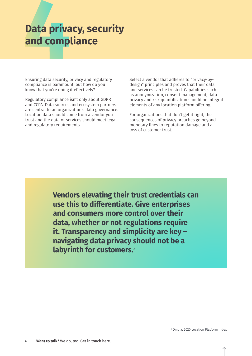### **Data privacy, security and compliance**

Ensuring data security, privacy and regulatory compliance is paramount, but how do you know that you're doing it effectively?

Regulatory compliance isn't only about GDPR and CCPA. Data sources and ecosystem partners are central to an organization's data governance. Location data should come from a vendor you trust and the data or services should meet legal and regulatory requirements.

Select a vendor that adheres to "privacy-bydesign" principles and proves that their data and services can be trusted. Capabilities such as anonymization, consent management, data privacy and risk quantification should be integral elements of any location platform offering.

For organizations that don't get it right, the consequences of privacy breaches go beyond monetary fines to reputation damage and a loss of customer trust.

**Vendors elevating their trust credentials can use this to differentiate. Give enterprises and consumers more control over their data, whether or not regulations require it. Transparency and simplicity are key – navigating data privacy should not be a labyrinth for customers.**<sup>3</sup>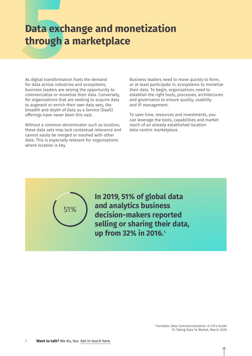#### **Data exchange and monetization through a marketplace**

As digital transformation fuels the demand for data across industries and ecosystems, business leaders are seizing the opportunity to commercialize or monetize their data. Conversely, for organizations that are seeking to acquire data to augment or enrich their own data sets, the breadth and depth of Data as a Service (DaaS) offerings have never been this vast.

Without a common denominator such as location, these data sets may lack contextual relevance and cannot easily be merged or mashed with other data. This is especially relevant for organizations where location is key.

Business leaders need to move quickly to form, or at least participate in, ecosystems to monetize their data. To begin, organizations need to establish the right tools, processes, architectures and governance to ensure quality, usability and IP management.

To save time, resources and investments, you can leverage the tools, capabilities and market reach of an already established location data-centric marketplace.



**In 2019, 51% of global data and analytics business decision-makers reported selling or sharing their data, up from 32% in 2016.**<sup>4</sup>

> 4 Forrester, Data Commercialization: A CIO's Guide To Taking Data To Market, March 2020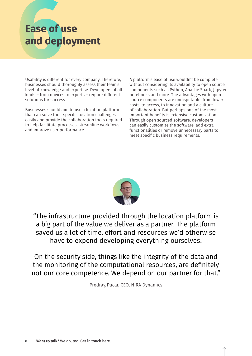### **Ease of use and deployment**

Usability is different for every company. Therefore, businesses should thoroughly assess their team's level of knowledge and expertise. Developers of all kinds – from novices to experts – require different solutions for success.

Businesses should aim to use a location platform that can solve their specific location challenges easily and provide the collaboration tools required to help facilitate processes, streamline workflows and improve user performance.

A platform's ease of use wouldn't be complete without considering its availability to open source components such as Python, Apache Spark, Jupyter notebooks and more. The advantages with open source components are undisputable; from lower costs, to access, to innovation and a culture of collaboration. But perhaps one of the most important benefits is extensive customization. Through open sourced software, developers can easily customize the software, add extra functionalities or remove unnecessary parts to meet specific business requirements.



"The infrastructure provided through the location platform is a big part of the value we deliver as a partner. The platform saved us a lot of time, effort and resources we'd otherwise have to expend developing everything ourselves.

On the security side, things like the integrity of the data and the monitoring of the computational resources, are definitely not our core competence. We depend on our partner for that."

Predrag Pucar, CEO, NIRA Dynamics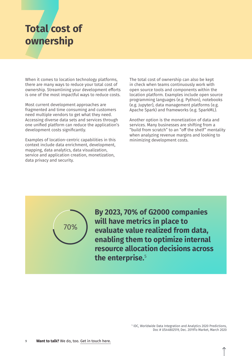### **Total cost of ownership**

When it comes to location technology platforms, there are many ways to reduce your total cost of ownership. Streamlining your development efforts is one of the most impactful ways to reduce costs.

Most current development approaches are fragmented and time consuming and customers need multiple vendors to get what they need. Accessing diverse data sets and services through one unified platform can reduce the application's development costs significantly.

Examples of location-centric capabilities in this context include data enrichment, development, mapping, data analytics, data visualization, service and application creation, monetization, data privacy and security.

The total cost of ownership can also be kept in check when teams continuously work with open source tools and components within the location platform. Examples include open source programming languages (e.g. Python), notebooks (e.g. Jupyter), data management platforms (e.g. Apache Spark) and frameworks (e.g. SparkML).

Another option is the monetization of data and services. Many businesses are shifting from a "build from scratch" to an "off the shelf" mentality when analyzing revenue margins and looking to minimizing development costs.



**By 2023, 70% of G2000 companies will have metrics in place to evaluate value realized from data, enabling them to optimize internal resource allocation decisions across the enterprise.**<sup>5</sup>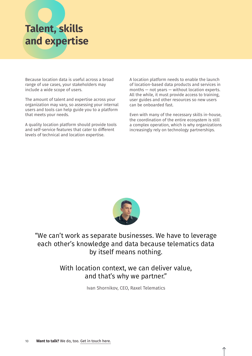## **Talent, skills and expertise**

Because location data is useful across a broad range of use cases, your stakeholders may include a wide scope of users.

The amount of talent and expertise across your organization may vary, so assessing your internal users and tools can help guide you to a platform that meets your needs.

A quality location platform should provide tools and self-service features that cater to different levels of technical and location expertise.

A location platform needs to enable the launch of location-based data products and services in months — not years — without location experts. All the while, it must provide access to training, user guides and other resources so new users can be onboarded fast.

Even with many of the necessary skills in-house, the coordination of the entire ecosystem is still a complex operation, which is why organizations increasingly rely on technology partnerships.



"We can't work as separate businesses. We have to leverage each other's knowledge and data because telematics data by itself means nothing.

> With location context, we can deliver value, and that's why we partner."

> > Ivan Shornikov, CEO, Raxel Telematics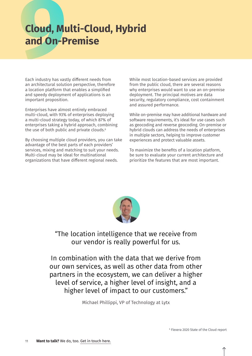### **Cloud, Multi-Cloud, Hybrid and On-Premise**

Each industry has vastly different needs from an architectural solution perspective, therefore a location platform that enables a simplified and speedy deployment of applications is an important proposition.

Enterprises have almost entirely embraced multi-cloud, with 93% of enterprises deploying a multi-cloud strategy today, of which 87% of enterprises taking a hybrid approach, combining the use of both public and private clouds.<sup>6</sup>

By choosing multiple cloud providers, you can take advantage of the best parts of each providers' services, mixing and matching to suit your needs. Multi-cloud may be ideal for multinational organizations that have different regional needs.

While most location-based services are provided from the public cloud, there are several reasons why enterprises would want to use an on-premise deployment. The principal motives are data security, regulatory compliance, cost containment and assured performance.

While on-premise may have additional hardware and software requirements, it's ideal for use cases such as geocoding and reverse geocoding. On-premise or hybrid clouds can address the needs of enterprises in multiple sectors, helping to improve customer experiences and protect valuable assets.

To maximize the benefits of a location platform, be sure to evaluate your current architecture and prioritize the features that are most important.



"The location intelligence that we receive from our vendor is really powerful for us.

In combination with the data that we derive from our own services, as well as other data from other partners in the ecosystem, we can deliver a higher level of service, a higher level of insight, and a higher level of impact to our customers."

Michael Phillippi, VP of Technology at Lytx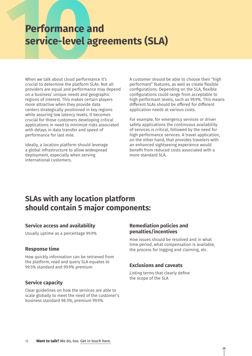#### **Performance and service-level agreements (SLA)**

When we talk about cloud performance it's crucial to determine the platform SLAs. Not all providers are equal and performance may depend on a business' unique needs and geographic regions of interest. This makes certain players more attractive when they provide data centers strategically positioned in key regions while assuring low latency levels. It becomes crucial for those customers developing critical applications in need to minimize risks associated with delays in data transfer and speed of performance for last mile.

Ideally, a location platform should leverage a global infrastructure to allow widespread deployment, especially when serving international customers.

A customer should be able to choose their "high performant" features, as well as create flexible configurations. Depending on the SLA, flexible configurations could range from acceptable to high performant levels, such as 99.9%. This means different SLAs should be offered for different application needs at various costs.

For example, for emergency services or driver safety applications the continuous availability of services is critical, followed by the need for high performance services. A travel application, on the other hand, that provides travelers with an enhanced sightseeing experience would benefit from reduced costs associated with a more standard SLA.

#### **SLAs with any location platform should contain 5 major components:**

#### **Service access and availability**

Usually uptime as a percentage 99.9%

#### **Response time**

How quickly information can be retrieved from the platform, read and query SLA equates to 99.5% standard and 99.9% premium

#### **Service capacity**

Clear guidelines on how the services are able to scale globally to meet the need of the customer's business standard 98.5%, premium 99.9%

#### **Remediation policies and penalties/incentives**

How issues should be resolved and in what time period, what compensation is available, the process for logging and claiming, etc.

#### **Exclusions and caveats**

Listing terms that clearly define the scope of the SLA